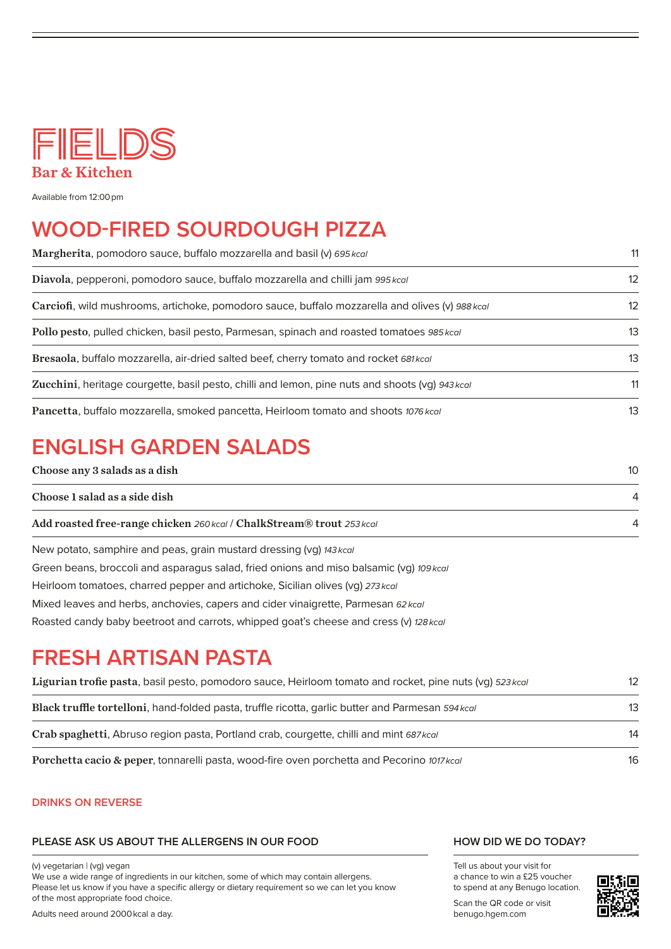

Available from 12:00 pm

### **WOOD-FIRED SOURDOUGH PIZZA**

| Margherita, pomodoro sauce, buffalo mozzarella and basil (v) 695 kcal                           | 11 |
|-------------------------------------------------------------------------------------------------|----|
| Diavola, pepperoni, pomodoro sauce, buffalo mozzarella and chilli jam 995 kcal                  | 12 |
| Carciofi, wild mushrooms, artichoke, pomodoro sauce, buffalo mozzarella and olives (v) 988 kcal | 12 |
| Pollo pesto, pulled chicken, basil pesto, Parmesan, spinach and roasted tomatoes 985 kcal       | 13 |
| Bresaola, buffalo mozzarella, air-dried salted beef, cherry tomato and rocket 681 kcal          | 13 |
| Zucchini, heritage courgette, basil pesto, chilli and lemon, pine nuts and shoots (vg) 943 kcal | 11 |
| Pancetta, buffalo mozzarella, smoked pancetta, Heirloom tomato and shoots 1076 kcal             | 13 |

# **ENGLISH GARDEN SALADS**

| $10-10$ |
|---------|
|         |
|         |
|         |

New potato, samphire and peas, grain mustard dressing (vg) *143 kcal* Green beans, broccoli and asparagus salad, fried onions and miso balsamic (vg) *109kcal* Heirloom tomatoes, charred pepper and artichoke, Sicilian olives (vg) *273 kcal* Mixed leaves and herbs, anchovies, capers and cider vinaigrette, Parmesan *62 kcal* Roasted candy baby beetroot and carrots, whipped goat's cheese and cress (v) *128 kcal*

## **FRESH ARTISAN PASTA**

| Ligurian trofie pasta, basil pesto, pomodoro sauce, Heirloom tomato and rocket, pine nuts (vq) 523 kcal | 12              |
|---------------------------------------------------------------------------------------------------------|-----------------|
| Black truffle tortelloni, hand-folded pasta, truffle ricotta, garlic butter and Parmesan 594 kcal       | 13 <sup>°</sup> |
| Crab spaghetti, Abruso region pasta, Portland crab, courgette, chilli and mint 687 kcal                 | 14              |
| Porchetta cacio & peper, tonnarelli pasta, wood-fire oven porchetta and Pecorino 1017 kcal              | 16              |

#### **DRINKS ON REVERSE**

#### **PLEASE ASK US ABOUT THE ALLERGENS IN OUR FOOD**

(v) vegetarian | (vg) vegan

We use a wide range of ingredients in our kitchen, some of which may contain allergens. Please let us know if you have a specific allergy or dietary requirement so we can let you know of the most appropriate food choice.

Adults need around 2000 kcal a day.

#### **HOW DID WE DO TODAY?**

Tell us about your visit for a chance to win a £25 voucher to spend at any Benugo location.

Scan the QR code or visit benugo.hgem.com